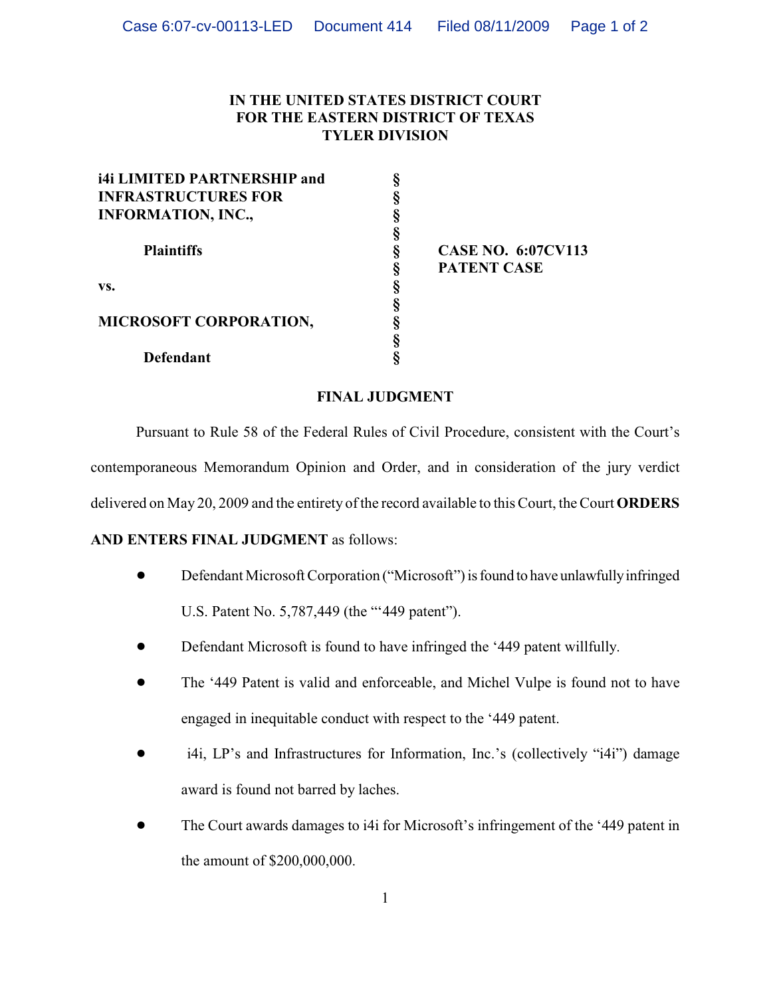## **IN THE UNITED STATES DISTRICT COURT FOR THE EASTERN DISTRICT OF TEXAS TYLER DIVISION**

| i4i LIMITED PARTNERSHIP and   | ş |
|-------------------------------|---|
| <b>INFRASTRUCTURES FOR</b>    | ş |
| <b>INFORMATION, INC.,</b>     | ş |
|                               | ş |
| <b>Plaintiffs</b>             | ş |
|                               | § |
| VS.                           | ş |
|                               | ş |
| <b>MICROSOFT CORPORATION,</b> | ş |
|                               | ş |
| <b>Defendant</b>              |   |

**§ CASE NO. 6:07CV113 § PATENT CASE**

## **FINAL JUDGMENT**

Pursuant to Rule 58 of the Federal Rules of Civil Procedure, consistent with the Court's contemporaneous Memorandum Opinion and Order, and in consideration of the jury verdict delivered on May 20, 2009 and the entirety of the record available to this Court, the Court **ORDERS**

## **AND ENTERS FINAL JUDGMENT** as follows:

- ! Defendant Microsoft Corporation ("Microsoft") is found to have unlawfully infringed U.S. Patent No. 5,787,449 (the "'449 patent").
- Defendant Microsoft is found to have infringed the '449 patent willfully.
- ! The '449 Patent is valid and enforceable, and Michel Vulpe is found not to have engaged in inequitable conduct with respect to the '449 patent.
- ! i4i, LP's and Infrastructures for Information, Inc.'s (collectively "i4i") damage award is found not barred by laches.
- ! The Court awards damages to i4i for Microsoft's infringement of the '449 patent in the amount of \$200,000,000.